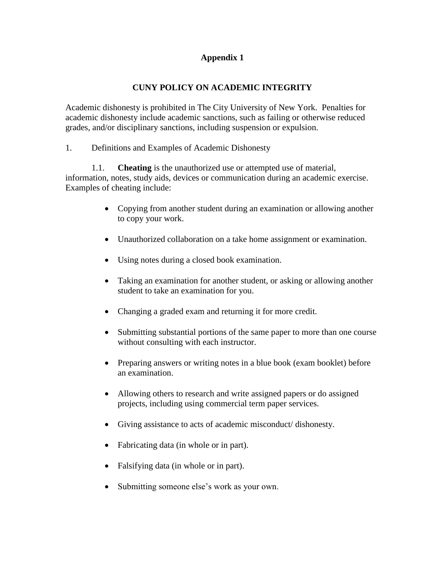# **Appendix 1**

# **CUNY POLICY ON ACADEMIC INTEGRITY**

Academic dishonesty is prohibited in The City University of New York. Penalties for academic dishonesty include academic sanctions, such as failing or otherwise reduced grades, and/or disciplinary sanctions, including suspension or expulsion.

1. Definitions and Examples of Academic Dishonesty

1.1. **Cheating** is the unauthorized use or attempted use of material, information, notes, study aids, devices or communication during an academic exercise. Examples of cheating include:

- Copying from another student during an examination or allowing another to copy your work.
- Unauthorized collaboration on a take home assignment or examination.
- Using notes during a closed book examination.
- Taking an examination for another student, or asking or allowing another student to take an examination for you.
- Changing a graded exam and returning it for more credit.
- Submitting substantial portions of the same paper to more than one course without consulting with each instructor.
- Preparing answers or writing notes in a blue book (exam booklet) before an examination.
- Allowing others to research and write assigned papers or do assigned projects, including using commercial term paper services.
- Giving assistance to acts of academic misconduct/ dishonesty.
- Fabricating data (in whole or in part).
- Falsifying data (in whole or in part).
- Submitting someone else's work as your own.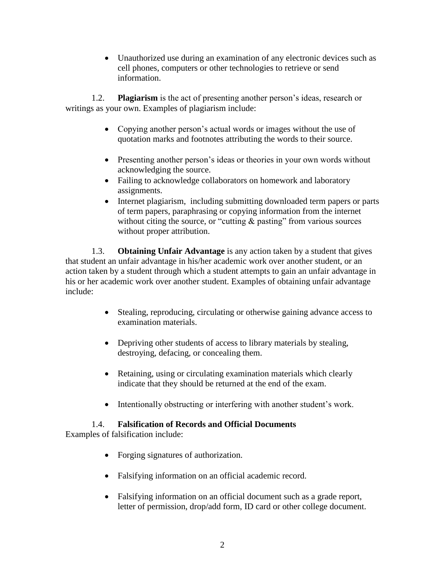Unauthorized use during an examination of any electronic devices such as cell phones, computers or other technologies to retrieve or send information.

1.2. **Plagiarism** is the act of presenting another person's ideas, research or writings as your own. Examples of plagiarism include:

- Copying another person's actual words or images without the use of quotation marks and footnotes attributing the words to their source.
- Presenting another person's ideas or theories in your own words without acknowledging the source.
- Failing to acknowledge collaborators on homework and laboratory assignments.
- Internet plagiarism, including submitting downloaded term papers or parts of term papers, paraphrasing or copying information from the internet without citing the source, or "cutting  $\&$  pasting" from various sources without proper attribution.

1.3. **Obtaining Unfair Advantage** is any action taken by a student that gives that student an unfair advantage in his/her academic work over another student, or an action taken by a student through which a student attempts to gain an unfair advantage in his or her academic work over another student. Examples of obtaining unfair advantage include:

- Stealing, reproducing, circulating or otherwise gaining advance access to examination materials.
- Depriving other students of access to library materials by stealing, destroying, defacing, or concealing them.
- Retaining, using or circulating examination materials which clearly indicate that they should be returned at the end of the exam.
- Intentionally obstructing or interfering with another student's work.

# 1.4. **Falsification of Records and Official Documents**

Examples of falsification include:

- Forging signatures of authorization.
- Falsifying information on an official academic record.
- Falsifying information on an official document such as a grade report, letter of permission, drop/add form, ID card or other college document.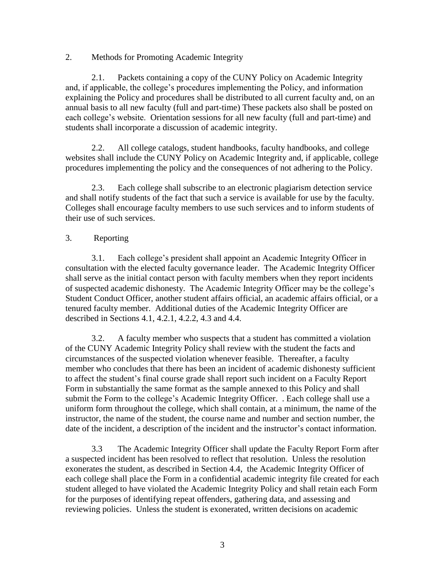#### 2. Methods for Promoting Academic Integrity

2.1. Packets containing a copy of the CUNY Policy on Academic Integrity and, if applicable, the college's procedures implementing the Policy, and information explaining the Policy and procedures shall be distributed to all current faculty and, on an annual basis to all new faculty (full and part-time) These packets also shall be posted on each college's website. Orientation sessions for all new faculty (full and part-time) and students shall incorporate a discussion of academic integrity.

2.2. All college catalogs, student handbooks, faculty handbooks, and college websites shall include the CUNY Policy on Academic Integrity and, if applicable, college procedures implementing the policy and the consequences of not adhering to the Policy.

2.3. Each college shall subscribe to an electronic plagiarism detection service and shall notify students of the fact that such a service is available for use by the faculty. Colleges shall encourage faculty members to use such services and to inform students of their use of such services.

### 3. Reporting

3.1. Each college's president shall appoint an Academic Integrity Officer in consultation with the elected faculty governance leader. The Academic Integrity Officer shall serve as the initial contact person with faculty members when they report incidents of suspected academic dishonesty. The Academic Integrity Officer may be the college's Student Conduct Officer, another student affairs official, an academic affairs official, or a tenured faculty member. Additional duties of the Academic Integrity Officer are described in Sections 4.1, 4.2.1, 4.2.2, 4.3 and 4.4.

3.2. A faculty member who suspects that a student has committed a violation of the CUNY Academic Integrity Policy shall review with the student the facts and circumstances of the suspected violation whenever feasible. Thereafter, a faculty member who concludes that there has been an incident of academic dishonesty sufficient to affect the student's final course grade shall report such incident on a Faculty Report Form in substantially the same format as the sample annexed to this Policy and shall submit the Form to the college's Academic Integrity Officer. . Each college shall use a uniform form throughout the college, which shall contain, at a minimum, the name of the instructor, the name of the student, the course name and number and section number, the date of the incident, a description of the incident and the instructor's contact information.

3.3 The Academic Integrity Officer shall update the Faculty Report Form after a suspected incident has been resolved to reflect that resolution. Unless the resolution exonerates the student, as described in Section 4.4, the Academic Integrity Officer of each college shall place the Form in a confidential academic integrity file created for each student alleged to have violated the Academic Integrity Policy and shall retain each Form for the purposes of identifying repeat offenders, gathering data, and assessing and reviewing policies. Unless the student is exonerated, written decisions on academic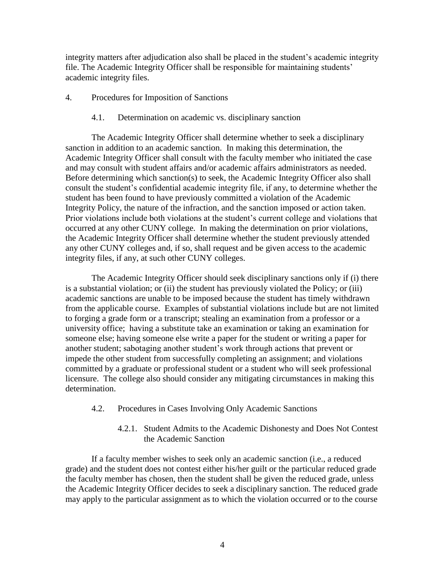integrity matters after adjudication also shall be placed in the student's academic integrity file. The Academic Integrity Officer shall be responsible for maintaining students' academic integrity files.

- 4. Procedures for Imposition of Sanctions
	- 4.1. Determination on academic vs. disciplinary sanction

The Academic Integrity Officer shall determine whether to seek a disciplinary sanction in addition to an academic sanction. In making this determination, the Academic Integrity Officer shall consult with the faculty member who initiated the case and may consult with student affairs and/or academic affairs administrators as needed. Before determining which sanction(s) to seek, the Academic Integrity Officer also shall consult the student's confidential academic integrity file, if any, to determine whether the student has been found to have previously committed a violation of the Academic Integrity Policy, the nature of the infraction, and the sanction imposed or action taken. Prior violations include both violations at the student's current college and violations that occurred at any other CUNY college. In making the determination on prior violations, the Academic Integrity Officer shall determine whether the student previously attended any other CUNY colleges and, if so, shall request and be given access to the academic integrity files, if any, at such other CUNY colleges.

The Academic Integrity Officer should seek disciplinary sanctions only if (i) there is a substantial violation; or (ii) the student has previously violated the Policy; or (iii) academic sanctions are unable to be imposed because the student has timely withdrawn from the applicable course. Examples of substantial violations include but are not limited to forging a grade form or a transcript; stealing an examination from a professor or a university office; having a substitute take an examination or taking an examination for someone else; having someone else write a paper for the student or writing a paper for another student; sabotaging another student's work through actions that prevent or impede the other student from successfully completing an assignment; and violations committed by a graduate or professional student or a student who will seek professional licensure. The college also should consider any mitigating circumstances in making this determination.

- 4.2. Procedures in Cases Involving Only Academic Sanctions
	- 4.2.1. Student Admits to the Academic Dishonesty and Does Not Contest the Academic Sanction

If a faculty member wishes to seek only an academic sanction (i.e., a reduced grade) and the student does not contest either his/her guilt or the particular reduced grade the faculty member has chosen, then the student shall be given the reduced grade, unless the Academic Integrity Officer decides to seek a disciplinary sanction. The reduced grade may apply to the particular assignment as to which the violation occurred or to the course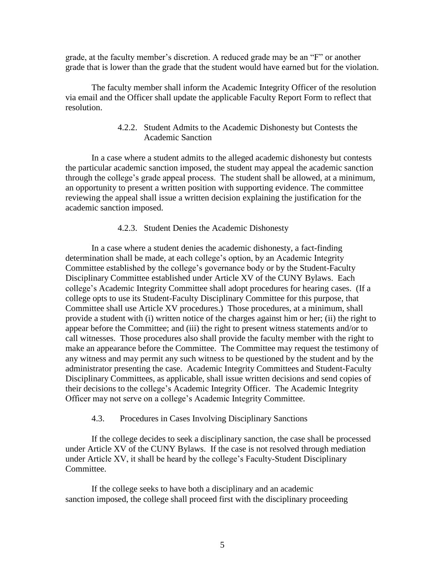grade, at the faculty member's discretion. A reduced grade may be an "F" or another grade that is lower than the grade that the student would have earned but for the violation.

The faculty member shall inform the Academic Integrity Officer of the resolution via email and the Officer shall update the applicable Faculty Report Form to reflect that resolution.

### 4.2.2. Student Admits to the Academic Dishonesty but Contests the Academic Sanction

In a case where a student admits to the alleged academic dishonesty but contests the particular academic sanction imposed, the student may appeal the academic sanction through the college's grade appeal process. The student shall be allowed, at a minimum, an opportunity to present a written position with supporting evidence. The committee reviewing the appeal shall issue a written decision explaining the justification for the academic sanction imposed.

#### 4.2.3. Student Denies the Academic Dishonesty

In a case where a student denies the academic dishonesty, a fact-finding determination shall be made, at each college's option, by an Academic Integrity Committee established by the college's governance body or by the Student-Faculty Disciplinary Committee established under Article XV of the CUNY Bylaws. Each college's Academic Integrity Committee shall adopt procedures for hearing cases. (If a college opts to use its Student-Faculty Disciplinary Committee for this purpose, that Committee shall use Article XV procedures.) Those procedures, at a minimum, shall provide a student with (i) written notice of the charges against him or her; (ii) the right to appear before the Committee; and (iii) the right to present witness statements and/or to call witnesses. Those procedures also shall provide the faculty member with the right to make an appearance before the Committee. The Committee may request the testimony of any witness and may permit any such witness to be questioned by the student and by the administrator presenting the case. Academic Integrity Committees and Student-Faculty Disciplinary Committees, as applicable, shall issue written decisions and send copies of their decisions to the college's Academic Integrity Officer. The Academic Integrity Officer may not serve on a college's Academic Integrity Committee.

#### 4.3. Procedures in Cases Involving Disciplinary Sanctions

If the college decides to seek a disciplinary sanction, the case shall be processed under Article XV of the CUNY Bylaws. If the case is not resolved through mediation under Article XV, it shall be heard by the college's Faculty-Student Disciplinary Committee.

If the college seeks to have both a disciplinary and an academic sanction imposed, the college shall proceed first with the disciplinary proceeding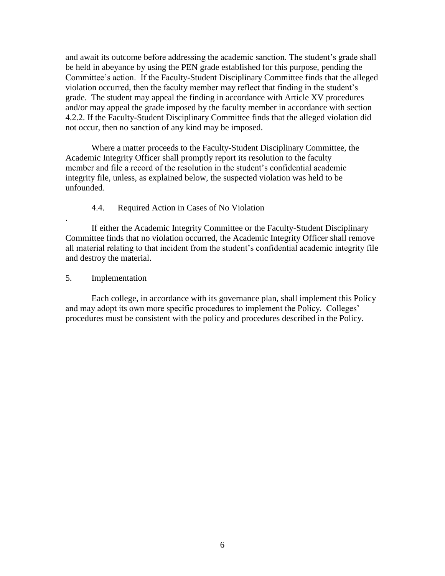and await its outcome before addressing the academic sanction. The student's grade shall be held in abeyance by using the PEN grade established for this purpose, pending the Committee's action. If the Faculty-Student Disciplinary Committee finds that the alleged violation occurred, then the faculty member may reflect that finding in the student's grade. The student may appeal the finding in accordance with Article XV procedures and/or may appeal the grade imposed by the faculty member in accordance with section 4.2.2. If the Faculty-Student Disciplinary Committee finds that the alleged violation did not occur, then no sanction of any kind may be imposed.

Where a matter proceeds to the Faculty-Student Disciplinary Committee, the Academic Integrity Officer shall promptly report its resolution to the faculty member and file a record of the resolution in the student's confidential academic integrity file, unless, as explained below, the suspected violation was held to be unfounded.

#### 4.4. Required Action in Cases of No Violation

If either the Academic Integrity Committee or the Faculty-Student Disciplinary Committee finds that no violation occurred, the Academic Integrity Officer shall remove all material relating to that incident from the student's confidential academic integrity file and destroy the material.

5. Implementation

.

Each college, in accordance with its governance plan, shall implement this Policy and may adopt its own more specific procedures to implement the Policy. Colleges' procedures must be consistent with the policy and procedures described in the Policy.